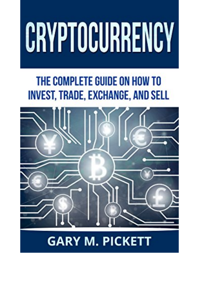## CRYPTOCURRENCY

## THE COMPLETE GUIDE ON HOW TO **INVEST, TRADE, EXCHANGE, AND SELL**



## **GARY M. PICKETT**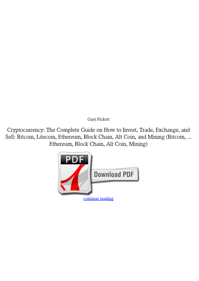*Gary Pickett*

**Cryptocurrency: The Complete Guide on How to Invest, Trade, Exchange, and Sell: Bitcoin, Litecoin, Ethereum, Block Chain, Alt Coin, and Mining (Bitcoin, ... Ethereum, Block Chain, Alt Coin, Mining)**

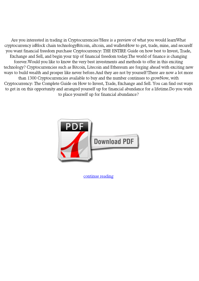Are you interested in trading in Cryptocurrencies?Here is a preview of what you would learnWhat cryptocurrency isBlock chain technologyBitcoin, altcoin, and walletsHow to get, trade, mine, and secureIf you want financial freedom purchase Cryptocurrency: THE ENTIRE Guide on how best to Invest, Trade, Exchange and Sell, and begin your trip of financial freedom today.The world of finance is changing forever.Would you like to know the very best investments and methods to offer in this exciting technology? Cryptocurrencies such as Bitcoin, Litecoin and Ethereum are forging ahead with exciting new ways to build wealth and prosper like never before.And they are not by yourself!There are now a lot more than 1300 Cryptocurrencies available to buy and the number continues to growNow, with Cryptocurrency: The Complete Guide on How to Invest, Trade, Exchange and Sell. You can find out ways to get in on this opportunity and arranged yourself up for financial abundance for a lifetime.Do you wish to place yourself up for financial abundance?



[continue reading](http://bit.ly/2Tge8Fv)